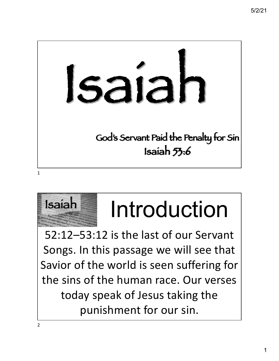



## Isaiah Introduction

52:12–53:12 is the last of our Servant Songs. In this passage we will see that Savior of the world is seen suffering for the sins of the human race. Our verses today speak of Jesus taking the punishment for our sin.

2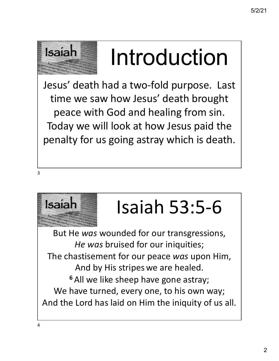

## Isaiah Introduction

Jesus' death had a two-fold purpose. Last time we saw how Jesus' death brought peace with God and healing from sin. Today we will look at how Jesus paid the penalty for us going astray which is death.

3



### Isaiah Isaiah 53:5-6

But He *was* wounded for our transgressions, *He was* bruised for our iniquities; The chastisement for our peace *was* upon Him, And by His stripes we are healed. **<sup>6</sup>** All we like sheep have gone astray; We have turned, every one, to his own way; And the Lord has laid on Him the iniquity of us all.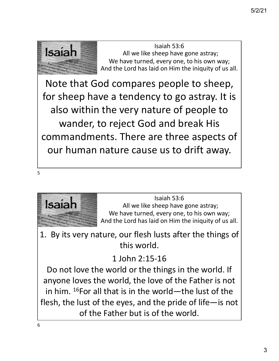

Note that God compares people to sheep, for sheep have a tendency to go astray. It is also within the very nature of people to wander, to reject God and break His commandments. There are three aspects of our human nature cause us to drift away.

5



Isaiah 53:6<br>
All we like sheep have gone astray;<br>
We have turned sugges as this sum: We have turned, every one, to his own way; And the Lord has laid on Him the iniquity of us all.

1. By its very nature, our flesh lusts after the things of this world.

#### 1 John 2:15-16

Do not love the world or the things in the world. If anyone loves the world, the love of the Father is not in him.  $^{16}$ For all that is in the world—the lust of the flesh, the lust of the eyes, and the pride of life—is not of the Father but is of the world.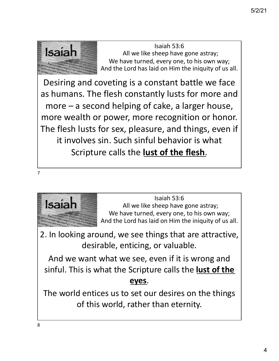

Desiring and coveting is a constant battle we face as humans. The flesh constantly lusts for more and more – a second helping of cake, a larger house, more wealth or power, more recognition or honor. The flesh lusts for sex, pleasure, and things, even if it involves sin. Such sinful behavior is what Scripture calls the **lust of the flesh**.





Isaiah 53:6<br>
All we like sheep have gone astray;<br>
We have turned sugges as this sum: We have turned, every one, to his own way; And the Lord has laid on Him the iniquity of us all.

2. In looking around, we see things that are attractive, desirable, enticing, or valuable.

And we want what we see, even if it is wrong and sinful. This is what the Scripture calls the **lust of the eyes**.

The world entices us to set our desires on the things of this world, rather than eternity.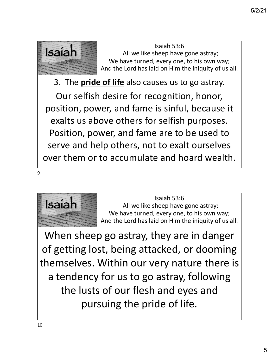

3. The **pride of life** also causes us to go astray.

Our selfish desire for recognition, honor, position, power, and fame is sinful, because it exalts us above others for selfish purposes. Position, power, and fame are to be used to serve and help others, not to exalt ourselves over them or to accumulate and hoard wealth.

9



Isaiah 53:6<br>
All we like sheep have gone astray;<br>
We have turned sugges as this sum: We have turned, every one, to his own way; And the Lord has laid on Him the iniquity of us all.

When sheep go astray, they are in danger of getting lost, being attacked, or dooming themselves. Within our very nature there is a tendency for us to go astray, following the lusts of our flesh and eyes and pursuing the pride of life.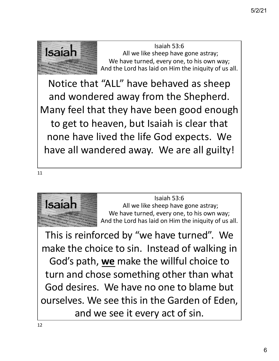

Notice that "ALL" have behaved as sheep and wondered away from the Shepherd. Many feel that they have been good enough to get to heaven, but Isaiah is clear that none have lived the life God expects. We have all wandered away. We are all guilty!

11



Isaiah 53:6<br>
All we like sheep have gone astray;<br>
We have turned sugges as this sum: We have turned, every one, to his own way; And the Lord has laid on Him the iniquity of us all.

This is reinforced by "we have turned". We make the choice to sin. Instead of walking in God's path, **we** make the willful choice to turn and chose something other than what God desires. We have no one to blame but ourselves. We see this in the Garden of Eden, and we see it every act of sin.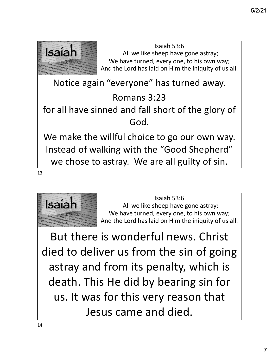



But there is wonderful news. Christ died to deliver us from the sin of going astray and from its penalty, which is death. This He did by bearing sin for us. It was for this very reason that Jesus came and died.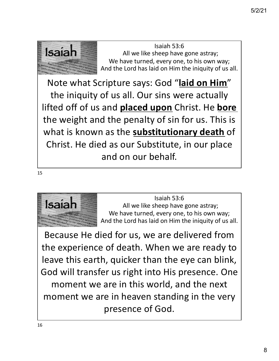

Note what Scripture says: God "**laid on Him**" the iniquity of us all. Our sins were actually lifted off of us and **placed upon** Christ. He **bore** the weight and the penalty of sin for us. This is what is known as the **substitutionary death** of Christ. He died as our Substitute, in our place and on our behalf.

15



Isaiah 53:6<br>
All we like sheep have gone astray;<br>
We have turned sugges as this sum: We have turned, every one, to his own way; And the Lord has laid on Him the iniquity of us all.

Because He died for us, we are delivered from the experience of death. When we are ready to leave this earth, quicker than the eye can blink, God will transfer us right into His presence. One moment we are in this world, and the next moment we are in heaven standing in the very presence of God.